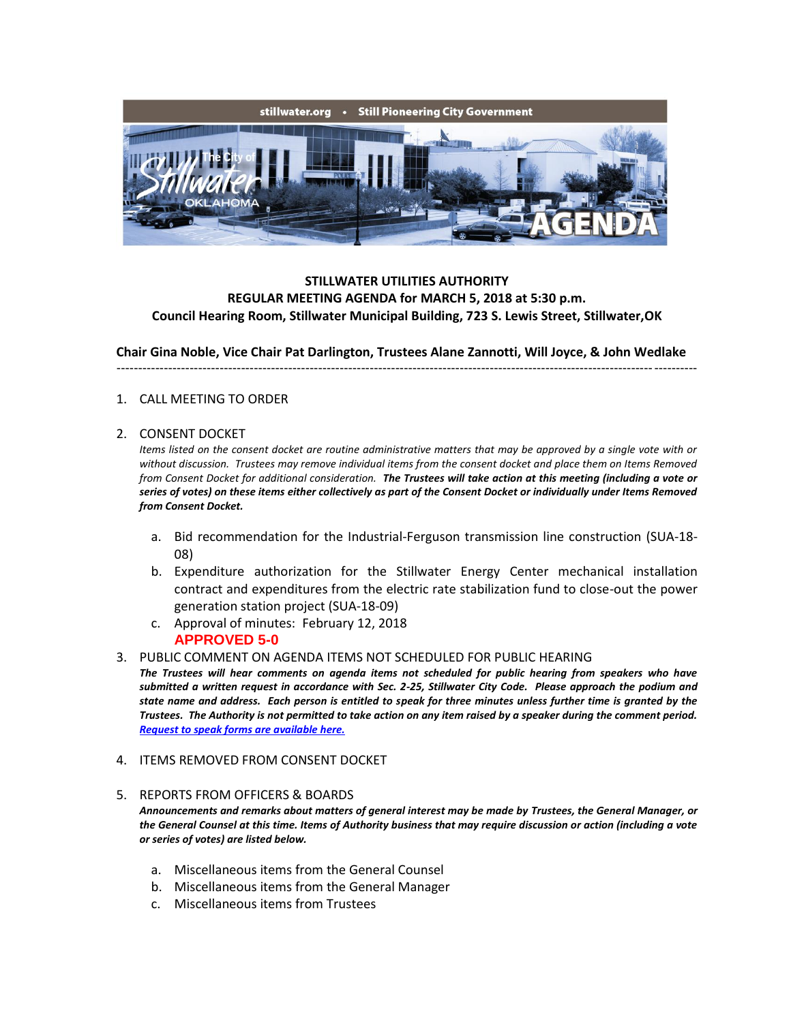

# **STILLWATER UTILITIES AUTHORITY REGULAR MEETING AGENDA for MARCH 5, 2018 at 5:30 p.m. Council Hearing Room, Stillwater Municipal Building, 723 S. Lewis Street, Stillwater,OK**

**Chair Gina Noble, Vice Chair Pat Darlington, Trustees Alane Zannotti, Will Joyce, & John Wedlake**

---------------------------------------------------------------------------------------------------------------------------------------

### 1. CALL MEETING TO ORDER

#### 2. CONSENT DOCKET

*Items listed on the consent docket are routine administrative matters that may be approved by a single vote with or without discussion. Trustees may remove individual items from the consent docket and place them on Items Removed from Consent Docket for additional consideration. The Trustees will take action at this meeting (including a vote or series of votes) on these items either collectively as part of the Consent Docket or individually under Items Removed from Consent Docket.*

- a. Bid recommendation for the Industrial-Ferguson transmission line construction (SUA-18- 08)
- b. Expenditure authorization for the Stillwater Energy Center mechanical installation contract and expenditures from the electric rate stabilization fund to close-out the power generation station project (SUA-18-09)
- c. Approval of minutes: February 12, 2018 **APPROVED 5-0**
- 3. PUBLIC COMMENT ON AGENDA ITEMS NOT SCHEDULED FOR PUBLIC HEARING
- *The Trustees will hear comments on agenda items not scheduled for public hearing from speakers who have submitted a written request in accordance with Sec. 2-25, Stillwater City Code. Please approach the podium and state name and address. Each person is entitled to speak for three minutes unless further time is granted by the Trustees. The Authority is not permitted to take action on any item raised by a speaker during the comment period. [Request to speak forms are available here.](http://stillwater.org/document/request_to_speak_at_city_council.php)*
- 4. ITEMS REMOVED FROM CONSENT DOCKET
- 5. REPORTS FROM OFFICERS & BOARDS

*Announcements and remarks about matters of general interest may be made by Trustees, the General Manager, or the General Counsel at this time. Items of Authority business that may require discussion or action (including a vote or series of votes) are listed below.*

- a. Miscellaneous items from the General Counsel
- b. Miscellaneous items from the General Manager
- c. Miscellaneous items from Trustees